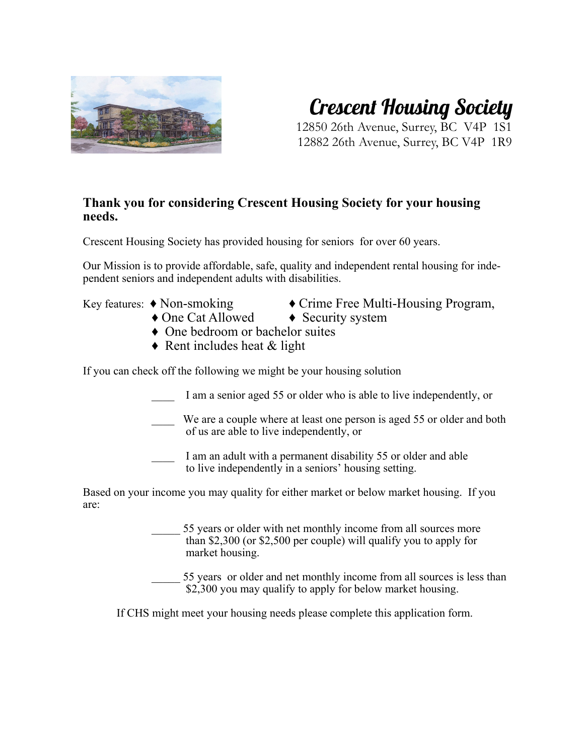

## **Crescent Housing Society**

12850 26th Avenue, Surrey, BC V4P 1S1 12882 26th Avenue, Surrey, BC V4P 1R9

#### **Thank you for considering Crescent Housing Society for your housing needs.**

Crescent Housing Society has provided housing for seniors for over 60 years.

Our Mission is to provide affordable, safe, quality and independent rental housing for independent seniors and independent adults with disabilities.

Key features: ♦ Non-smoking ♦ Crime Free Multi-Housing Program,

- 
- ♦ One Cat Allowed ♦ Security system
- ♦ One bedroom or bachelor suites
- $\triangle$  Rent includes heat & light

If you can check off the following we might be your housing solution

- I am a senior aged 55 or older who is able to live independently, or
- We are a couple where at least one person is aged 55 or older and both of us are able to live independently, or
- I am an adult with a permanent disability 55 or older and able to live independently in a seniors' housing setting.

Based on your income you may quality for either market or below market housing. If you are:

> 55 years or older with net monthly income from all sources more than \$2,300 (or \$2,500 per couple) will qualify you to apply for market housing.

55 years or older and net monthly income from all sources is less than \$2,300 you may qualify to apply for below market housing.

If CHS might meet your housing needs please complete this application form.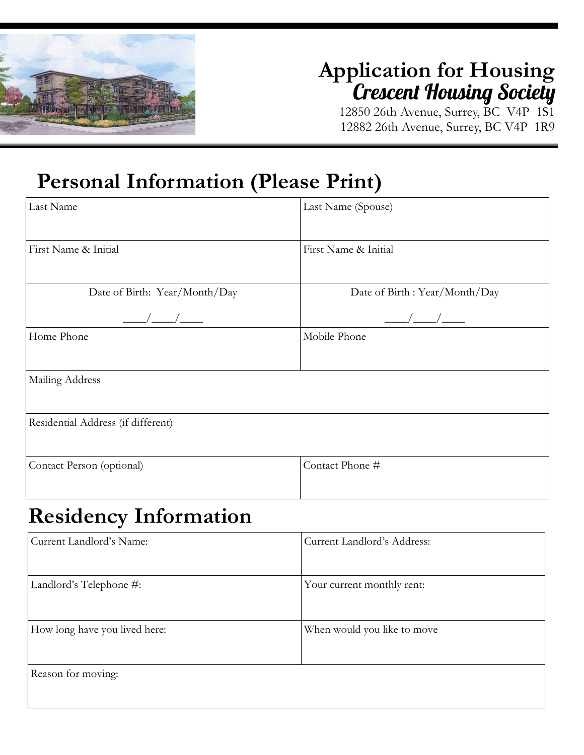

# **Application for Housing Crescent Housing Society** 12850 26th Avenue, Surrey, BC V4P 1S1

12882 26th Avenue, Surrey, BC V4P 1R9

### **Personal Information (Please Print)**

| Last Name                          | Last Name (Spouse)                |  |
|------------------------------------|-----------------------------------|--|
| First Name & Initial               | First Name & Initial              |  |
| Date of Birth: Year/Month/Day      | Date of Birth : Year/Month/Day    |  |
| $\frac{\frac{1}{2}}{\frac{1}{2}}$  | $\frac{\frac{1}{2}}{\frac{1}{2}}$ |  |
| Home Phone                         | Mobile Phone                      |  |
| Mailing Address                    |                                   |  |
| Residential Address (if different) |                                   |  |
| Contact Person (optional)          | Contact Phone #                   |  |

#### **Residency Information**

| Current Landlord's Name:      | Current Landlord's Address: |
|-------------------------------|-----------------------------|
| Landlord's Telephone #:       | Your current monthly rent:  |
| How long have you lived here: | When would you like to move |
| Reason for moving:            |                             |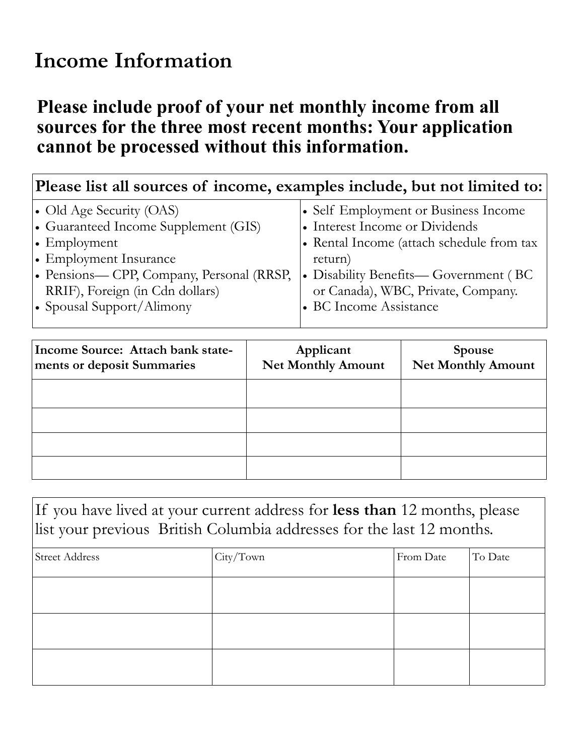#### **Income Information**

#### **Please include proof of your net monthly income from all sources for the three most recent months: Your application cannot be processed without this information.**

| Please list all sources of income, examples include, but not limited to:                                                                                                                                                      |                                                                                                                                                                                                                                         |  |
|-------------------------------------------------------------------------------------------------------------------------------------------------------------------------------------------------------------------------------|-----------------------------------------------------------------------------------------------------------------------------------------------------------------------------------------------------------------------------------------|--|
| • Old Age Security (OAS)<br>• Guaranteed Income Supplement (GIS)<br>$\cdot$ Employment<br>• Employment Insurance<br>• Pensions— CPP, Company, Personal (RRSP,<br>RRIF), Foreign (in Cdn dollars)<br>• Spousal Support/Alimony | • Self Employment or Business Income<br>• Interest Income or Dividends<br>• Rental Income (attach schedule from tax<br>return)<br>• Disability Benefits— Government (BC<br>or Canada), WBC, Private, Company.<br>• BC Income Assistance |  |
|                                                                                                                                                                                                                               |                                                                                                                                                                                                                                         |  |

| Income Source: Attach bank state-<br>ments or deposit Summaries | Applicant<br><b>Net Monthly Amount</b> | <b>Spouse</b><br>Net Monthly Amount |  |
|-----------------------------------------------------------------|----------------------------------------|-------------------------------------|--|
|                                                                 |                                        |                                     |  |
|                                                                 |                                        |                                     |  |
|                                                                 |                                        |                                     |  |
|                                                                 |                                        |                                     |  |

If you have lived at your current address for **less than** 12 months, please list your previous British Columbia addresses for the last 12 months.

| <b>Street Address</b> | City/Town | From Date | To Date |
|-----------------------|-----------|-----------|---------|
|                       |           |           |         |
|                       |           |           |         |
|                       |           |           |         |
|                       |           |           |         |